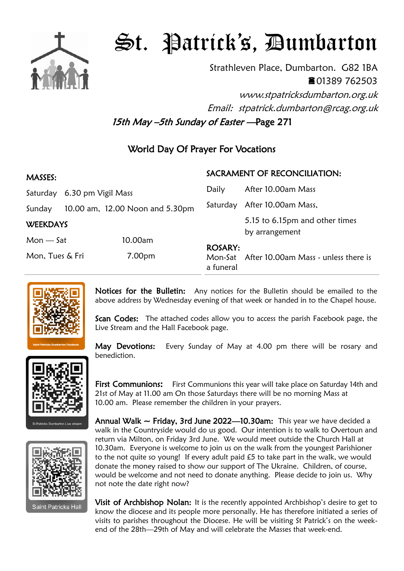

## St. Patrick's, Dumbarton

Strathleven Place, Dumbarton. G82 1BA 01389 762503 www.stpatricksdumbarton.org.uk Email: stpatrick.dumbarton@rcag.org.uk

15th May -5th Sunday of Easter - Page 271

## World Day Of Prayer For Vocations

| MASSES:         |                             |                                 | SACRAMENT OF RECONCILIATION: |                                                  |
|-----------------|-----------------------------|---------------------------------|------------------------------|--------------------------------------------------|
|                 | Saturday 6.30 pm Vigil Mass |                                 | Daily                        | After 10.00am Mass                               |
| Sunday          |                             | 10.00 am, 12.00 Noon and 5.30pm | Saturday                     | After 10.00am Mass,                              |
| <b>WEEKDAYS</b> |                             |                                 |                              | 5.15 to 6.15pm and other times<br>by arrangement |
| $Mon - Sat$     |                             | 10.00am                         | <b>ROSARY:</b>               |                                                  |
| Mon, Tues & Fri |                             | 7.00pm                          | a funeral                    | Mon-Sat After 10.00am Mass - unless there is     |



Notices for the Bulletin: Any notices for the Bulletin should be emailed to the above address by Wednesday evening of that week or handed in to the Chapel house.

Scan Codes: The attached codes allow you to access the parish Facebook page, the Live Stream and the Hall Facebook page.

May Devotions: Every Sunday of May at 4.00 pm there will be rosary and benediction.

First Communions: First Communions this year will take place on Saturday 14th and 21st of May at 11.00 am On those Saturdays there will be no morning Mass at 10.00 am. Please remember the children in your prayers.

Annual Walk  $\sim$  Friday, 3rd June 2022—10.30am: This year we have decided a walk in the Countryside would do us good. Our intention is to walk to Overtoun and return via Milton, on Friday 3rd June. We would meet outside the Church Hall at 10.30am. Everyone is welcome to join us on the walk from the youngest Parishioner to the not quite so young! If every adult paid £5 to take part in the walk, we would donate the money raised to show our support of The Ukraine. Children, of course, would be welcome and not need to donate anything. Please decide to join us. Why not note the date right now?

Visit of Archbishop Nolan: It is the recently appointed Archbishop's desire to get to know the diocese and its people more personally. He has therefore initiated a series of visits to parishes throughout the Diocese. He will be visiting St Patrick's on the weekend of the 28th—29th of May and will celebrate the Masses that week-end.